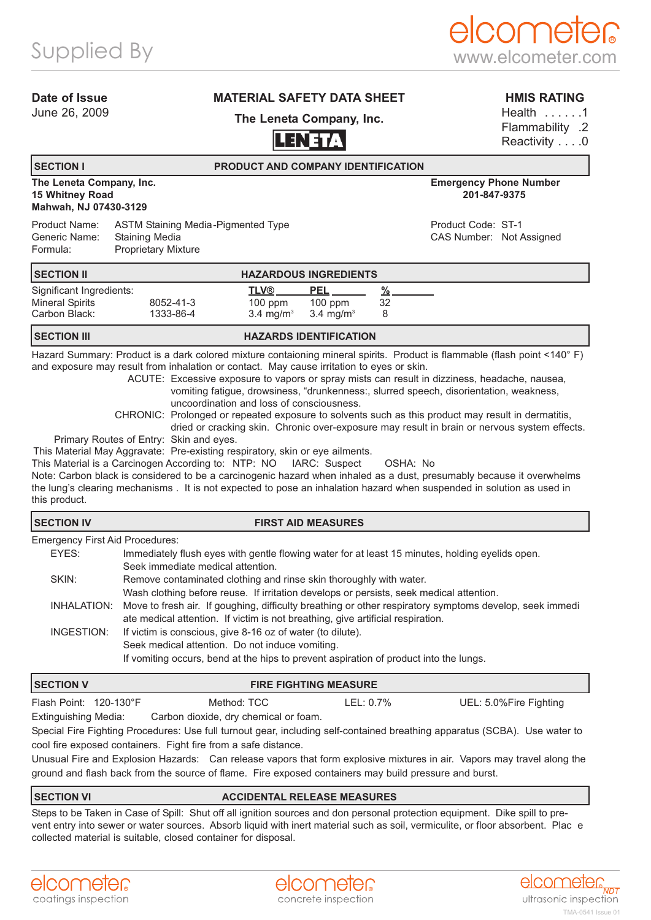### **Date of Issue**

June 26, 2009

## **MATERIAL SAFETY DATA SHEET**

**The Leneta Company, Inc.**

# **LENETA**

**HMIS RATING**

Health . . . . . . 1 Flammability .2 Reactivity . . . . 0

# **SECTION I PRODUCT AND COMPANY IDENTIFICATION**

### **The Leneta Company, Inc. Emergency Phone Number 15 Whitney Road Mahwah, NJ 07430-3129**

Product Name: ASTM Staining Media-Pigmented Type **Product Code: ST-1** Product Code: ST-1 Generic Name: Staining Media CAS Number: Not Assigned Formula: Proprietary Mixture

| <b>ISECTION II</b>       | <b>HAZARDOUS INGREDIENTS</b> |                      |                      |    |
|--------------------------|------------------------------|----------------------|----------------------|----|
| Significant Ingredients: |                              | TLV®                 | <b>PEL</b>           |    |
| <b>Mineral Spirits</b>   | 8052-41-3                    | $100$ ppm            | $100$ ppm            | 32 |
| Carbon Black:            | 1333-86-4                    | $3.4 \text{ ma/m}^3$ | $3.4 \text{ ma/m}^3$ | 8  |

### **SECTION III HAZARDS IDENTIFICATION**

Hazard Summary: Product is a dark colored mixture contaioning mineral spirits. Product is flammable (flash point <140°F) and exposure may result from inhalation or contact. May cause irritation to eyes or skin.

ACUTE: Excessive exposure to vapors or spray mists can result in dizziness, headache, nausea, vomiting fatigue, drowsiness, "drunkenness:, slurred speech, disorientation, weakness, uncoordination and loss of consciousness.

CHRONIC: Prolonged or repeated exposure to solvents such as this product may result in dermatitis, dried or cracking skin. Chronic over-exposure may result in brain or nervous system effects.

Primary Routes of Entry: Skin and eyes.

This Material May Aggravate: Pre-existing respiratory, skin or eye ailments.

This Material is a Carcinogen According to: NTP: NO IARC: Suspect OSHA: No

Note: Carbon black is considered to be a carcinogenic hazard when inhaled as a dust, presumably because it overwhelms the lung's clearing mechanisms . It is not expected to pose an inhalation hazard when suspended in solution as used in this product.

Emergency First Aid Procedures:

| EYES:       | Immediately flush eyes with gentle flowing water for at least 15 minutes, holding eyelids open.         |
|-------------|---------------------------------------------------------------------------------------------------------|
|             | Seek immediate medical attention.                                                                       |
| SKIN:       | Remove contaminated clothing and rinse skin thoroughly with water.                                      |
|             | Wash clothing before reuse. If irritation develops or persists, seek medical attention.                 |
| INHALATION: | Move to fresh air. If goughing, difficulty breathing or other respiratory symptoms develop, seek immedi |
|             | ate medical attention. If victim is not breathing, give artificial respiration.                         |
| INGESTION:  | If victim is conscious, give 8-16 oz of water (to dilute).                                              |
|             | Seek medical attention. Do not induce vomiting.                                                         |
|             | If vomiting occurs, bend at the hips to prevent aspiration of product into the lungs.                   |
|             |                                                                                                         |

| <b>SECTION V</b>                                                                                                           | <b>FIRE FIGHTING MEASURE</b> |             |           |                        |  |  |  |  |
|----------------------------------------------------------------------------------------------------------------------------|------------------------------|-------------|-----------|------------------------|--|--|--|--|
| Flash Point: 120-130°F                                                                                                     |                              | Method: TCC | LEL: 0.7% | UEL: 5.0%Fire Fighting |  |  |  |  |
| Carbon dioxide, dry chemical or foam.<br>Extinguishing Media:                                                              |                              |             |           |                        |  |  |  |  |
| Special Fire Fighting Procedures: Use full turnout gear, including self-contained breathing apparatus (SCBA). Use water to |                              |             |           |                        |  |  |  |  |
| cool fire exposed containers. Fight fire from a safe distance.                                                             |                              |             |           |                        |  |  |  |  |

Unusual Fire and Explosion Hazards: Can release vapors that form explosive mixtures in air. Vapors may travel along the ground and flash back from the source of flame. Fire exposed containers may build pressure and burst.

### **SECTION VI ACCIDENTAL RELEASE MEASURES**

Steps to be Taken in Case of Spill: Shut off all ignition sources and don personal protection equipment. Dike spill to prevent entry into sewer or water sources. Absorb liquid with inert material such as soil, vermiculite, or floor absorbent. Plac e collected material is suitable, closed container for disposal.